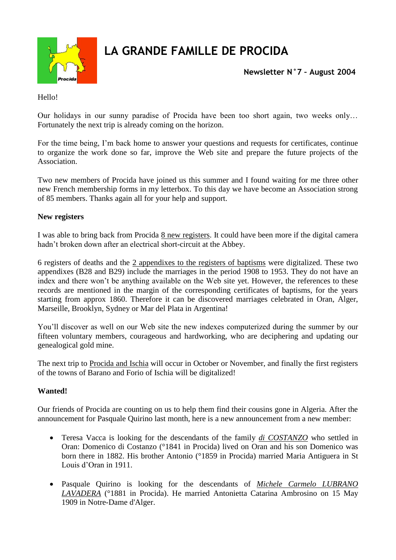

## **LA GRANDE FAMILLE DE PROCIDA**

**Newsletter N°7 – August 2004**

Hello!

Our holidays in our sunny paradise of Procida have been too short again, two weeks only… Fortunately the next trip is already coming on the horizon.

For the time being, I'm back home to answer your questions and requests for certificates, continue to organize the work done so far, improve the Web site and prepare the future projects of the Association.

Two new members of Procida have joined us this summer and I found waiting for me three other new French membership forms in my letterbox. To this day we have become an Association strong of 85 members. Thanks again all for your help and support.

## **New registers**

I was able to bring back from Procida 8 new registers. It could have been more if the digital camera hadn't broken down after an electrical short-circuit at the Abbey.

6 registers of deaths and the 2 appendixes to the registers of baptisms were digitalized. These two appendixes (B28 and B29) include the marriages in the period 1908 to 1953. They do not have an index and there won't be anything available on the Web site yet. However, the references to these records are mentioned in the margin of the corresponding certificates of baptisms, for the years starting from approx 1860. Therefore it can be discovered marriages celebrated in Oran, Alger, Marseille, Brooklyn, Sydney or Mar del Plata in Argentina!

You'll discover as well on our Web site the new indexes computerized during the summer by our fifteen voluntary members, courageous and hardworking, who are deciphering and updating our genealogical gold mine.

The next trip to Procida and Ischia will occur in October or November, and finally the first registers of the towns of Barano and Forio of Ischia will be digitalized!

## **Wanted!**

Our friends of Procida are counting on us to help them find their cousins gone in Algeria. After the announcement for Pasquale Quirino last month, here is a new announcement from a new member:

- Teresa Vacca is looking for the descendants of the family *di COSTANZO* who settled in Oran: Domenico di Costanzo (°1841 in Procida) lived on Oran and his son Domenico was born there in 1882. His brother Antonio (°1859 in Procida) married Maria Antiguera in St Louis d'Oran in 1911.
- Pasquale Quirino is looking for the descendants of *Michele Carmelo LUBRANO LAVADERA* (°1881 in Procida). He married Antonietta Catarina Ambrosino on 15 May 1909 in Notre-Dame d'Alger.